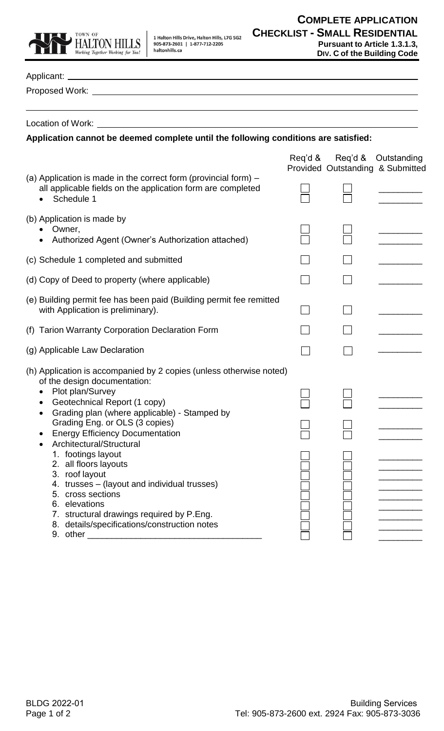

| Application cannot be deemed complete until the following conditions are satisfied:                                                            |  |                             |                                  |  |
|------------------------------------------------------------------------------------------------------------------------------------------------|--|-----------------------------|----------------------------------|--|
|                                                                                                                                                |  | Req'd & Req'd & Outstanding | Provided Outstanding & Submitted |  |
| (a) Application is made in the correct form (provincial form) $-$<br>all applicable fields on the application form are completed<br>Schedule 1 |  |                             |                                  |  |
| (b) Application is made by                                                                                                                     |  |                             |                                  |  |
| Owner,<br>Authorized Agent (Owner's Authorization attached)<br>$\bullet$                                                                       |  |                             |                                  |  |
| (c) Schedule 1 completed and submitted                                                                                                         |  |                             |                                  |  |
| (d) Copy of Deed to property (where applicable)                                                                                                |  |                             |                                  |  |
| (e) Building permit fee has been paid (Building permit fee remitted<br>with Application is preliminary).                                       |  |                             |                                  |  |
| (f) Tarion Warranty Corporation Declaration Form                                                                                               |  |                             |                                  |  |
| (g) Applicable Law Declaration                                                                                                                 |  |                             |                                  |  |
| (h) Application is accompanied by 2 copies (unless otherwise noted)<br>of the design documentation:                                            |  |                             |                                  |  |
| Plot plan/Survey<br>Geotechnical Report (1 copy)<br>Grading plan (where applicable) - Stamped by                                               |  |                             |                                  |  |
| Grading Eng. or OLS (3 copies)<br><b>Energy Efficiency Documentation</b><br>Architectural/Structural                                           |  |                             |                                  |  |
| 1. footings layout<br>2. all floors layouts<br>3. roof layout<br>4. trusses - (layout and individual trusses)<br>5. cross sections             |  |                             |                                  |  |
| 6. elevations<br>7. structural drawings required by P.Eng.<br>8. details/specifications/construction notes                                     |  |                             |                                  |  |